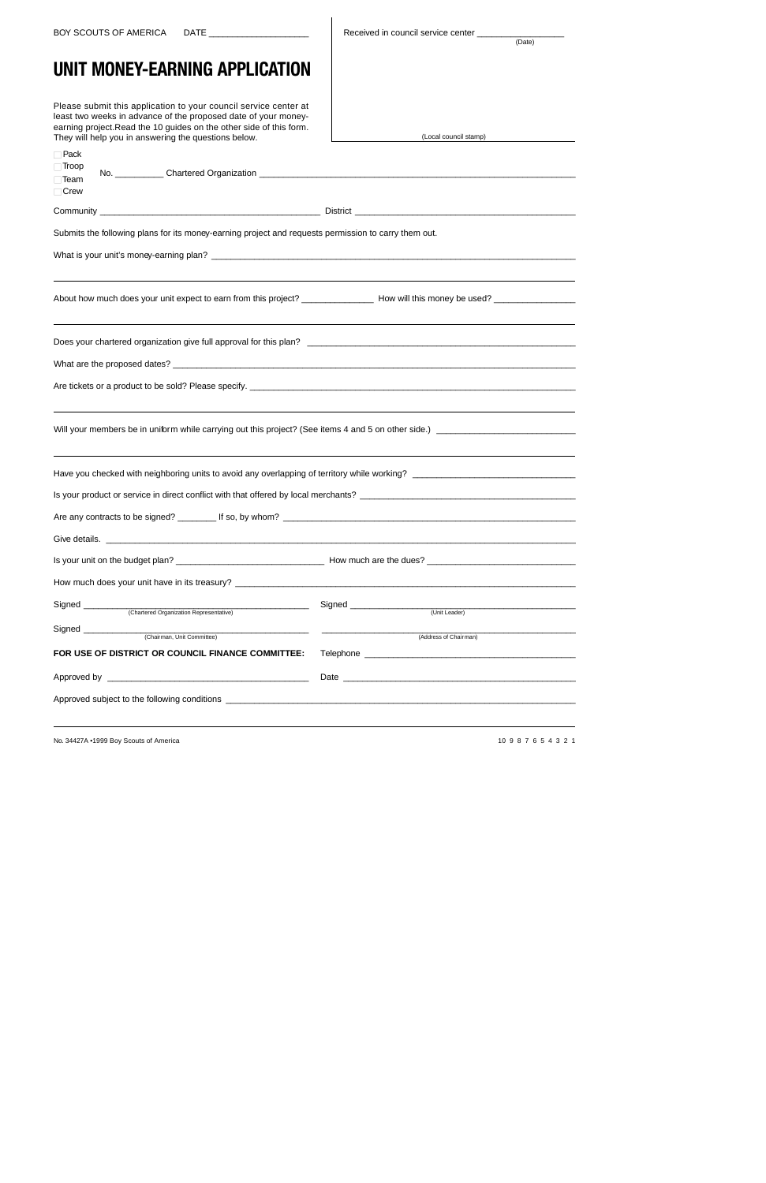BOY SCOUTS OF AMERICA DATE \_\_\_\_\_\_\_\_\_\_\_\_\_\_\_\_\_\_\_\_\_\_\_ | Received in council service center

 $(Date)$ 

## **UNIT MONEY-EARNING APPLICATION**

Please submit this application to your council service center at least two weeks in advance of the proposed date of your money earning project.Read the 10 guides on the other side of this form. They will help you in answering the questions below.

| They will help you in answering the questions below.                                                         | (Local council stamp)                                                                                                                                                                                                          |
|--------------------------------------------------------------------------------------------------------------|--------------------------------------------------------------------------------------------------------------------------------------------------------------------------------------------------------------------------------|
| $\Box$ Pack                                                                                                  |                                                                                                                                                                                                                                |
| $\Box$ Troop                                                                                                 |                                                                                                                                                                                                                                |
| $\Box$ Team                                                                                                  |                                                                                                                                                                                                                                |
| $\Box$ Crew                                                                                                  |                                                                                                                                                                                                                                |
|                                                                                                              |                                                                                                                                                                                                                                |
| Submits the following plans for its money-earning project and requests permission to carry them out.         |                                                                                                                                                                                                                                |
|                                                                                                              |                                                                                                                                                                                                                                |
|                                                                                                              |                                                                                                                                                                                                                                |
|                                                                                                              |                                                                                                                                                                                                                                |
|                                                                                                              |                                                                                                                                                                                                                                |
|                                                                                                              |                                                                                                                                                                                                                                |
|                                                                                                              |                                                                                                                                                                                                                                |
|                                                                                                              |                                                                                                                                                                                                                                |
|                                                                                                              |                                                                                                                                                                                                                                |
|                                                                                                              |                                                                                                                                                                                                                                |
| ,我们也不会有什么。""我们的人,我们也不会有什么?""我们的人,我们也不会有什么?""我们的人,我们也不会有什么?""我们的人,我们也不会有什么?""我们的人                             |                                                                                                                                                                                                                                |
|                                                                                                              |                                                                                                                                                                                                                                |
|                                                                                                              |                                                                                                                                                                                                                                |
|                                                                                                              |                                                                                                                                                                                                                                |
|                                                                                                              |                                                                                                                                                                                                                                |
|                                                                                                              |                                                                                                                                                                                                                                |
|                                                                                                              |                                                                                                                                                                                                                                |
|                                                                                                              |                                                                                                                                                                                                                                |
|                                                                                                              |                                                                                                                                                                                                                                |
| Is your unit on the budget plan?<br><u> 1989 - Johann John Stein, mars an deus Amerikaansk kommunister (</u> | How much are the dues?                                                                                                                                                                                                         |
|                                                                                                              |                                                                                                                                                                                                                                |
| How much does your unit have in its treasury? ___________________________________                            |                                                                                                                                                                                                                                |
| Signed _______<br>(Chartered Organization Representative)                                                    | (Unit Leader)                                                                                                                                                                                                                  |
| Signed _                                                                                                     |                                                                                                                                                                                                                                |
| (Chairman, Unit Committee)                                                                                   | (Address of Chairman)                                                                                                                                                                                                          |
| FOR USE OF DISTRICT OR COUNCIL FINANCE COMMITTEE:                                                            | Telephone and the contract of the contract of the contract of the contract of the contract of the contract of                                                                                                                  |
|                                                                                                              | Date experience and the contract of the contract of the contract of the contract of the contract of the contract of the contract of the contract of the contract of the contract of the contract of the contract of the contra |
|                                                                                                              |                                                                                                                                                                                                                                |
|                                                                                                              |                                                                                                                                                                                                                                |